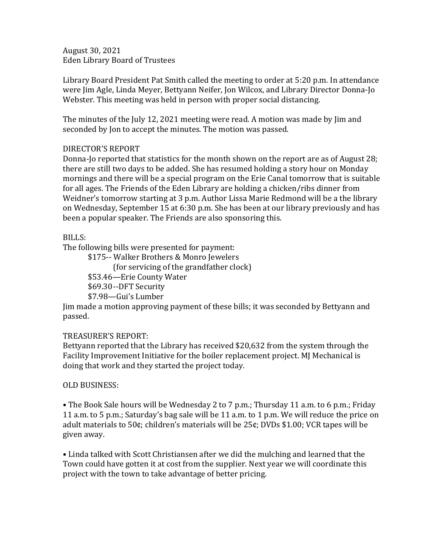August 30, 2021 Eden Library Board of Trustees

Library Board President Pat Smith called the meeting to order at 5:20 p.m. In attendance were Jim Agle, Linda Meyer, Bettyann Neifer, Jon Wilcox, and Library Director Donna-Jo Webster. This meeting was held in person with proper social distancing.

The minutes of the July 12, 2021 meeting were read. A motion was made by Jim and seconded by Jon to accept the minutes. The motion was passed.

## DIRECTOR'S REPORT

Donna-Jo reported that statistics for the month shown on the report are as of August 28; there are still two days to be added. She has resumed holding a story hour on Monday mornings and there will be a special program on the Erie Canal tomorrow that is suitable for all ages. The Friends of the Eden Library are holding a chicken/ribs dinner from Weidner's tomorrow starting at 3 p.m. Author Lissa Marie Redmond will be a the library on Wednesday, September 15 at 6:30 p.m. She has been at our library previously and has been a popular speaker. The Friends are also sponsoring this.

## BILLS:

The following bills were presented for payment:

\$175-- Walker Brothers & Monro Jewelers (for servicing of the grandfather clock) \$53.46—Erie County Water \$69.30--DFT Security \$7.98—Gui's Lumber

Jim made a motion approving payment of these bills; it was seconded by Bettyann and passed.

## TREASURER'S REPORT:

Bettyann reported that the Library has received \$20,632 from the system through the Facility Improvement Initiative for the boiler replacement project. MJ Mechanical is doing that work and they started the project today.

## OLD BUSINESS:

• The Book Sale hours will be Wednesday 2 to 7 p.m.; Thursday 11 a.m. to 6 p.m.; Friday 11 a.m. to 5 p.m.; Saturday's bag sale will be 11 a.m. to 1 p.m. We will reduce the price on adult materials to 50¢; children's materials will be 25¢; DVDs \$1.00; VCR tapes will be given away.

• Linda talked with Scott Christiansen after we did the mulching and learned that the Town could have gotten it at cost from the supplier. Next year we will coordinate this project with the town to take advantage of better pricing.